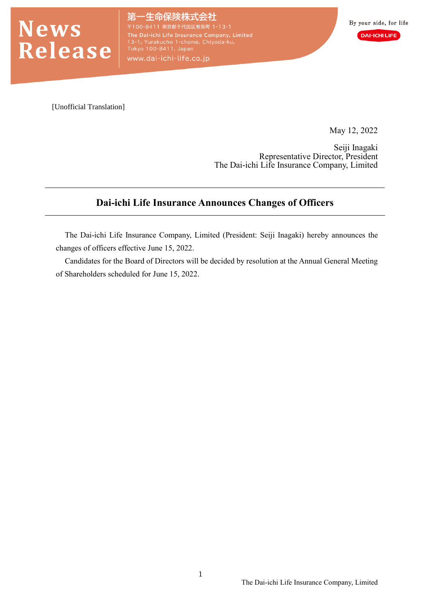

E命保険株式会社 東京都千代田区有楽町 1-13-1 The Dai-ichi Life Insurance Company, Limited<br>13-1, Yurakucho 1-chome, Chiyoda-ku,<br>Tokyo 100-8411, Japan

www.dai-ichi-life.co.jp

[Unofficial Translation]

May 12, 2022

Seiji Inagaki Representative Director, President The Dai-ichi Life Insurance Company, Limited

# **Dai-ichi Life Insurance Announces Changes of Officers**

The Dai-ichi Life Insurance Company, Limited (President: Seiji Inagaki) hereby announces the changes of officers effective June 15, 2022.

Candidates for the Board of Directors will be decided by resolution at the Annual General Meeting of Shareholders scheduled for June 15, 2022.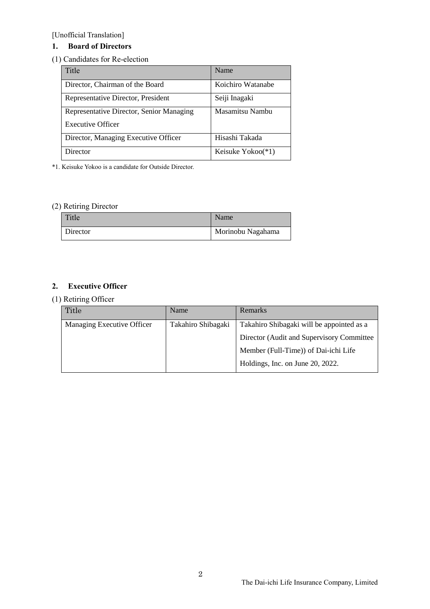[Unofficial Translation]

## **1. Board of Directors**

### (1) Candidates for Re-election

| Title                                    | Name              |  |
|------------------------------------------|-------------------|--|
| Director, Chairman of the Board          | Koichiro Watanabe |  |
| Representative Director, President       | Seiji Inagaki     |  |
| Representative Director, Senior Managing | Masamitsu Nambu   |  |
| <b>Executive Officer</b>                 |                   |  |
| Director, Managing Executive Officer     | Hisashi Takada    |  |
| Director                                 | Keisuke Yokoo(*1) |  |

\*1. Keisuke Yokoo is a candidate for Outside Director.

### (2) Retiring Director

| Title    | Name              |
|----------|-------------------|
| Director | Morinobu Nagahama |

### **2. Executive Officer**

### (1) Retiring Officer

| Title                      | Name               | <b>Remarks</b>                             |
|----------------------------|--------------------|--------------------------------------------|
| Managing Executive Officer | Takahiro Shibagaki | Takahiro Shibagaki will be appointed as a  |
|                            |                    | Director (Audit and Supervisory Committee) |
|                            |                    | Member (Full-Time)) of Dai-ichi Life       |
|                            |                    | Holdings, Inc. on June 20, 2022.           |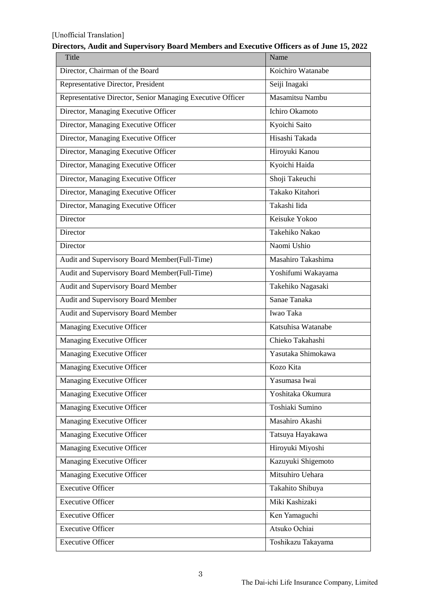#### [Unofficial Translation]

| $\cdots$<br>Title                                          | Name               |  |
|------------------------------------------------------------|--------------------|--|
| Director, Chairman of the Board                            | Koichiro Watanabe  |  |
| Representative Director, President                         | Seiji Inagaki      |  |
| Representative Director, Senior Managing Executive Officer | Masamitsu Nambu    |  |
| Director, Managing Executive Officer                       | Ichiro Okamoto     |  |
| Director, Managing Executive Officer                       | Kyoichi Saito      |  |
| Director, Managing Executive Officer                       | Hisashi Takada     |  |
| Director, Managing Executive Officer                       | Hiroyuki Kanou     |  |
| Director, Managing Executive Officer                       | Kyoichi Haida      |  |
| Director, Managing Executive Officer                       | Shoji Takeuchi     |  |
| Director, Managing Executive Officer                       | Takako Kitahori    |  |
| Director, Managing Executive Officer                       | Takashi Iida       |  |
| Director                                                   | Keisuke Yokoo      |  |
| Director                                                   | Takehiko Nakao     |  |
| Director                                                   | Naomi Ushio        |  |
| Audit and Supervisory Board Member(Full-Time)              | Masahiro Takashima |  |
| Audit and Supervisory Board Member(Full-Time)              | Yoshifumi Wakayama |  |
| Audit and Supervisory Board Member                         | Takehiko Nagasaki  |  |
| Audit and Supervisory Board Member                         | Sanae Tanaka       |  |
| Audit and Supervisory Board Member                         | Iwao Taka          |  |
| Managing Executive Officer                                 | Katsuhisa Watanabe |  |
| Managing Executive Officer                                 | Chieko Takahashi   |  |
| Managing Executive Officer                                 | Yasutaka Shimokawa |  |
| Managing Executive Officer                                 | Kozo Kita          |  |
| Managing Executive Officer                                 | Yasumasa Iwai      |  |
| Managing Executive Officer                                 | Yoshitaka Okumura  |  |
| <b>Managing Executive Officer</b>                          | Toshiaki Sumino    |  |
| <b>Managing Executive Officer</b>                          | Masahiro Akashi    |  |
| <b>Managing Executive Officer</b>                          | Tatsuya Hayakawa   |  |
| Managing Executive Officer                                 | Hiroyuki Miyoshi   |  |
| <b>Managing Executive Officer</b>                          | Kazuyuki Shigemoto |  |
| Managing Executive Officer                                 | Mitsuhiro Uehara   |  |
| <b>Executive Officer</b>                                   | Takahito Shibuya   |  |
| <b>Executive Officer</b>                                   | Miki Kashizaki     |  |
| <b>Executive Officer</b>                                   | Ken Yamaguchi      |  |
| <b>Executive Officer</b>                                   | Atsuko Ochiai      |  |
| <b>Executive Officer</b>                                   | Toshikazu Takayama |  |

### **Directors, Audit and Supervisory Board Members and Executive Officers as of June 15, 2022**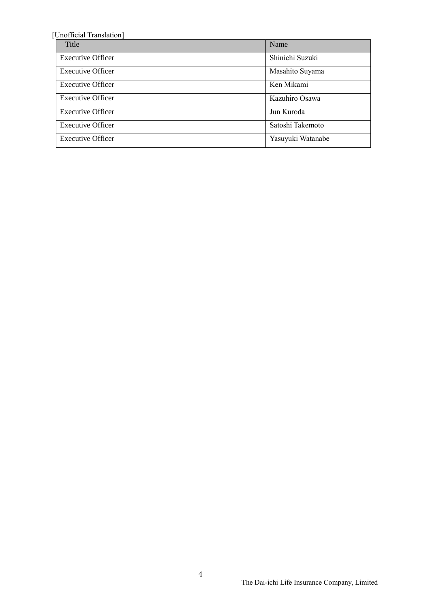| [Unofficial Translation] |                   |  |
|--------------------------|-------------------|--|
| Title                    | Name              |  |
| <b>Executive Officer</b> | Shinichi Suzuki   |  |
| <b>Executive Officer</b> | Masahito Suyama   |  |
| <b>Executive Officer</b> | Ken Mikami        |  |
| <b>Executive Officer</b> | Kazuhiro Osawa    |  |
| <b>Executive Officer</b> | Jun Kuroda        |  |
| <b>Executive Officer</b> | Satoshi Takemoto  |  |
| <b>Executive Officer</b> | Yasuyuki Watanabe |  |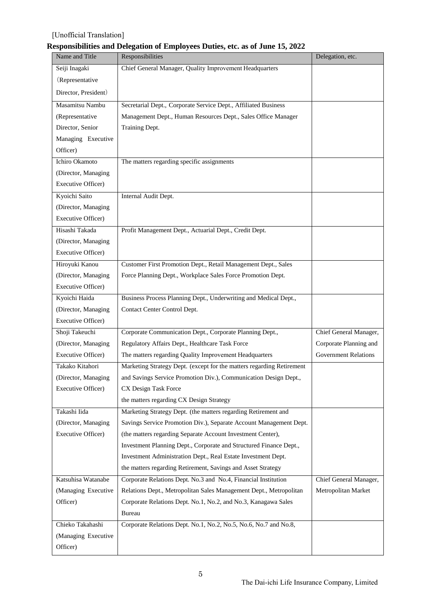### [Unofficial Translation]

## **Responsibilities and Delegation of Employees Duties, etc. as of June 15, 2022**

| Name and Title       | Responsibilities                                                      | Delegation, etc.            |
|----------------------|-----------------------------------------------------------------------|-----------------------------|
| Seiji Inagaki        | Chief General Manager, Quality Improvement Headquarters               |                             |
| (Representative      |                                                                       |                             |
| Director, President) |                                                                       |                             |
| Masamitsu Nambu      | Secretarial Dept., Corporate Service Dept., Affiliated Business       |                             |
| (Representative      | Management Dept., Human Resources Dept., Sales Office Manager         |                             |
| Director, Senior     | Training Dept.                                                        |                             |
| Managing Executive   |                                                                       |                             |
| Officer)             |                                                                       |                             |
| Ichiro Okamoto       | The matters regarding specific assignments                            |                             |
| (Director, Managing  |                                                                       |                             |
| Executive Officer)   |                                                                       |                             |
| Kyoichi Saito        | Internal Audit Dept.                                                  |                             |
| (Director, Managing  |                                                                       |                             |
| Executive Officer)   |                                                                       |                             |
| Hisashi Takada       | Profit Management Dept., Actuarial Dept., Credit Dept.                |                             |
| (Director, Managing  |                                                                       |                             |
| Executive Officer)   |                                                                       |                             |
| Hiroyuki Kanou       | Customer First Promotion Dept., Retail Management Dept., Sales        |                             |
| (Director, Managing  | Force Planning Dept., Workplace Sales Force Promotion Dept.           |                             |
| Executive Officer)   |                                                                       |                             |
| Kyoichi Haida        | Business Process Planning Dept., Underwriting and Medical Dept.,      |                             |
| (Director, Managing  | Contact Center Control Dept.                                          |                             |
| Executive Officer)   |                                                                       |                             |
| Shoji Takeuchi       | Corporate Communication Dept., Corporate Planning Dept.,              | Chief General Manager,      |
| (Director, Managing  | Regulatory Affairs Dept., Healthcare Task Force                       | Corporate Planning and      |
| Executive Officer)   | The matters regarding Quality Improvement Headquarters                | <b>Government Relations</b> |
| Takako Kitahori      | Marketing Strategy Dept. (except for the matters regarding Retirement |                             |
| (Director, Managing  | and Savings Service Promotion Div.), Communication Design Dept.,      |                             |
| Executive Officer)   | CX Design Task Force                                                  |                             |
|                      | the matters regarding CX Design Strategy                              |                             |
| Takashi Iida         | Marketing Strategy Dept. (the matters regarding Retirement and        |                             |
| (Director, Managing  | Savings Service Promotion Div.), Separate Account Management Dept.    |                             |
| Executive Officer)   | (the matters regarding Separate Account Investment Center),           |                             |
|                      | Investment Planning Dept., Corporate and Structured Finance Dept.,    |                             |
|                      | Investment Administration Dept., Real Estate Investment Dept.         |                             |
|                      | the matters regarding Retirement, Savings and Asset Strategy          |                             |
| Katsuhisa Watanabe   | Corporate Relations Dept. No.3 and No.4, Financial Institution        | Chief General Manager,      |
| (Managing Executive  | Relations Dept., Metropolitan Sales Management Dept., Metropolitan    | Metropolitan Market         |
| Officer)             | Corporate Relations Dept. No.1, No.2, and No.3, Kanagawa Sales        |                             |
|                      | Bureau                                                                |                             |
| Chieko Takahashi     | Corporate Relations Dept. No.1, No.2, No.5, No.6, No.7 and No.8,      |                             |
| (Managing Executive  |                                                                       |                             |
| Officer)             |                                                                       |                             |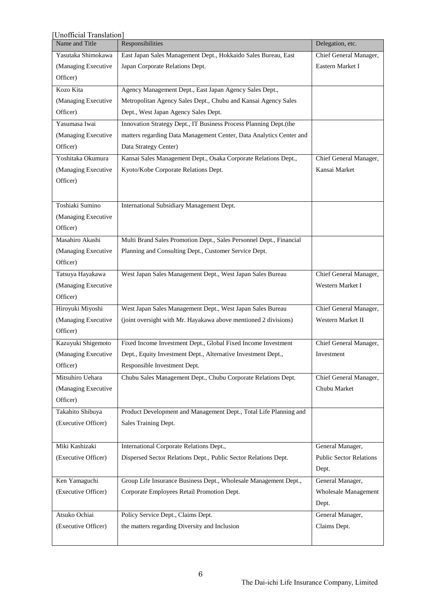| Unofficial Translation] |                                                                     |                                |  |
|-------------------------|---------------------------------------------------------------------|--------------------------------|--|
| Name and Title          | Responsibilities                                                    | Delegation, etc.               |  |
| Yasutaka Shimokawa      | East Japan Sales Management Dept., Hokkaido Sales Bureau, East      | Chief General Manager,         |  |
| (Managing Executive     | Japan Corporate Relations Dept.                                     | Eastern Market I               |  |
| Officer)                |                                                                     |                                |  |
| Kozo Kita               | Agency Management Dept., East Japan Agency Sales Dept.,             |                                |  |
| (Managing Executive     | Metropolitan Agency Sales Dept., Chubu and Kansai Agency Sales      |                                |  |
| Officer)                | Dept., West Japan Agency Sales Dept.                                |                                |  |
| Yasumasa Iwai           | Innovation Strategy Dept., IT Business Process Planning Dept.(the   |                                |  |
| (Managing Executive     | matters regarding Data Management Center, Data Analytics Center and |                                |  |
| Officer)                | Data Strategy Center)                                               |                                |  |
| Yoshitaka Okumura       | Kansai Sales Management Dept., Osaka Corporate Relations Dept.,     | Chief General Manager,         |  |
| (Managing Executive     | Kyoto/Kobe Corporate Relations Dept.                                | Kansai Market                  |  |
| Officer)                |                                                                     |                                |  |
|                         |                                                                     |                                |  |
| Toshiaki Sumino         | International Subsidiary Management Dept.                           |                                |  |
| (Managing Executive     |                                                                     |                                |  |
| Officer)                |                                                                     |                                |  |
| Masahiro Akashi         | Multi Brand Sales Promotion Dept., Sales Personnel Dept., Financial |                                |  |
| (Managing Executive     | Planning and Consulting Dept., Customer Service Dept.               |                                |  |
| Officer)                |                                                                     |                                |  |
| Tatsuya Hayakawa        | West Japan Sales Management Dept., West Japan Sales Bureau          | Chief General Manager,         |  |
| (Managing Executive     |                                                                     | Western Market I               |  |
| Officer)                |                                                                     |                                |  |
| Hiroyuki Miyoshi        | West Japan Sales Management Dept., West Japan Sales Bureau          | Chief General Manager,         |  |
| (Managing Executive     | (joint oversight with Mr. Hayakawa above mentioned 2 divisions)     | Western Market II              |  |
| Officer)                |                                                                     |                                |  |
| Kazuyuki Shigemoto      | Fixed Income Investment Dept., Global Fixed Income Investment       | Chief General Manager,         |  |
| (Managing Executive     | Dept., Equity Investment Dept., Alternative Investment Dept.,       | Investment                     |  |
| Officer)                | Responsible Investment Dept.                                        |                                |  |
| Mitsuhiro Uehara        | Chubu Sales Management Dept., Chubu Corporate Relations Dept.       | Chief General Manager,         |  |
| (Managing Executive     |                                                                     | Chubu Market                   |  |
| Officer)                |                                                                     |                                |  |
| Takahito Shibuya        | Product Development and Management Dept., Total Life Planning and   |                                |  |
| (Executive Officer)     | Sales Training Dept.                                                |                                |  |
|                         |                                                                     |                                |  |
| Miki Kashizaki          | International Corporate Relations Dept.,                            | General Manager,               |  |
| (Executive Officer)     | Dispersed Sector Relations Dept., Public Sector Relations Dept.     | <b>Public Sector Relations</b> |  |
|                         |                                                                     | Dept.                          |  |
| Ken Yamaguchi           | Group Life Insurance Business Dept., Wholesale Management Dept.,    | General Manager,               |  |
| (Executive Officer)     | Corporate Employees Retail Promotion Dept.                          | <b>Wholesale Management</b>    |  |
|                         |                                                                     | Dept.                          |  |
| Atsuko Ochiai           | Policy Service Dept., Claims Dept.                                  | General Manager,               |  |
| (Executive Officer)     | the matters regarding Diversity and Inclusion                       | Claims Dept.                   |  |
|                         |                                                                     |                                |  |